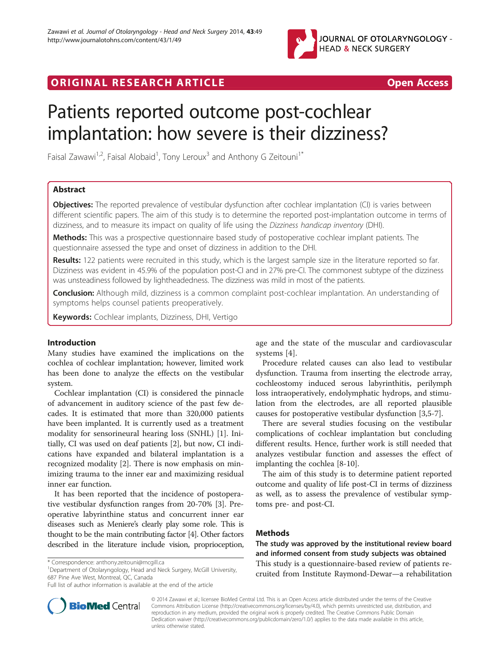

# ORIGINAL RESEARCH ARTICLE **Example 20 and Section 20 and Section** 20 and 20 and 20 and 20 and 20 and 20 and 20 and 20 and 20 and 20 and 20 and 20 and 20 and 20 and 20 and 20 and 20 and 20 and 20 and 20 and 20 and 20 and 20

# Patients reported outcome post-cochlear implantation: how severe is their dizziness?

Faisal Zawawi<sup>1,2</sup>, Faisal Alobaid<sup>1</sup>, Tony Leroux<sup>3</sup> and Anthony G Zeitouni<sup>1\*</sup>

# Abstract

Objectives: The reported prevalence of vestibular dysfunction after cochlear implantation (CI) is varies between different scientific papers. The aim of this study is to determine the reported post-implantation outcome in terms of dizziness, and to measure its impact on quality of life using the Dizziness handicap inventory (DHI).

Methods: This was a prospective questionnaire based study of postoperative cochlear implant patients. The questionnaire assessed the type and onset of dizziness in addition to the DHI.

Results: 122 patients were recruited in this study, which is the largest sample size in the literature reported so far. Dizziness was evident in 45.9% of the population post-CI and in 27% pre-CI. The commonest subtype of the dizziness was unsteadiness followed by lightheadedness. The dizziness was mild in most of the patients.

Conclusion: Although mild, dizziness is a common complaint post-cochlear implantation. An understanding of symptoms helps counsel patients preoperatively.

Keywords: Cochlear implants, Dizziness, DHI, Vertigo

# Introduction

Many studies have examined the implications on the cochlea of cochlear implantation; however, limited work has been done to analyze the effects on the vestibular system.

Cochlear implantation (CI) is considered the pinnacle of advancement in auditory science of the past few decades. It is estimated that more than 320,000 patients have been implanted. It is currently used as a treatment modality for sensorineural hearing loss (SNHL) [[1\]](#page-3-0). Initially, CI was used on deaf patients [[2\]](#page-3-0), but now, CI indications have expanded and bilateral implantation is a recognized modality [[2\]](#page-3-0). There is now emphasis on minimizing trauma to the inner ear and maximizing residual inner ear function.

It has been reported that the incidence of postoperative vestibular dysfunction ranges from 20-70% [[3](#page-3-0)]. Preoperative labyrinthine status and concurrent inner ear diseases such as Meniere's clearly play some role. This is thought to be the main contributing factor [\[4\]](#page-3-0). Other factors described in the literature include vision, proprioception,

<sup>1</sup>Department of Otolaryngology, Head and Neck Surgery, McGill University, 687 Pine Ave West, Montreal, QC, Canada



Procedure related causes can also lead to vestibular dysfunction. Trauma from inserting the electrode array, cochleostomy induced serous labyrinthitis, perilymph loss intraoperatively, endolymphatic hydrops, and stimulation from the electrodes, are all reported plausible causes for postoperative vestibular dysfunction [\[3,5](#page-3-0)-[7\]](#page-3-0).

There are several studies focusing on the vestibular complications of cochlear implantation but concluding different results. Hence, further work is still needed that analyzes vestibular function and assesses the effect of implanting the cochlea [\[8](#page-3-0)-[10\]](#page-3-0).

The aim of this study is to determine patient reported outcome and quality of life post-CI in terms of dizziness as well, as to assess the prevalence of vestibular symptoms pre- and post-CI.

# **Methods**

The study was approved by the institutional review board and informed consent from study subjects was obtained This study is a questionnaire-based review of patients recruited from Institute Raymond-Dewar—a rehabilitation



© 2014 Zawawi et al.; licensee BioMed Central Ltd. This is an Open Access article distributed under the terms of the Creative Commons Attribution License [\(http://creativecommons.org/licenses/by/4.0\)](http://creativecommons.org/licenses/by/4.0), which permits unrestricted use, distribution, and reproduction in any medium, provided the original work is properly credited. The Creative Commons Public Domain Dedication waiver [\(http://creativecommons.org/publicdomain/zero/1.0/](http://creativecommons.org/publicdomain/zero/1.0/)) applies to the data made available in this article, unless otherwise stated.

<sup>\*</sup> Correspondence: [anthony.zeitouni@mcgill.ca](mailto:anthony.zeitouni@mcgill.ca) <sup>1</sup>

Full list of author information is available at the end of the article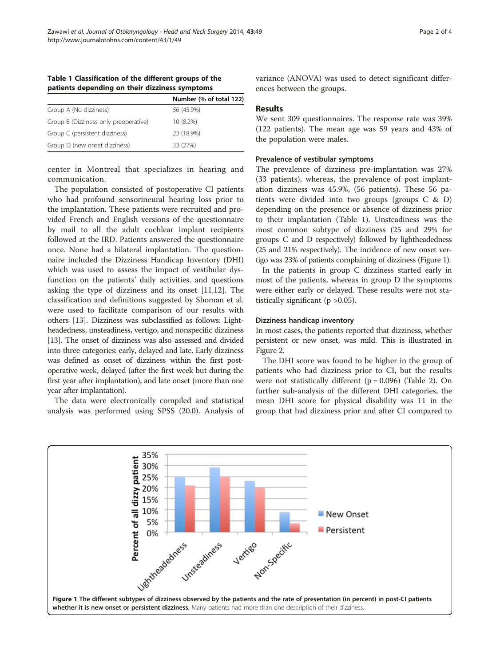|                                       | Number (% of total 122) |
|---------------------------------------|-------------------------|
| Group A (No dizziness)                | 56 (45.9%)              |
| Group B (Dizziness only preoperative) | 10 (8.2%)               |
| Group C (persistent dizziness)        | 23 (18.9%)              |
| Group D (new onset dizziness)         | 33 (27%)                |

Table 1 Classification of the different groups of the patients depending on their dizziness symptoms

center in Montreal that specializes in hearing and communication.

The population consisted of postoperative CI patients who had profound sensorineural hearing loss prior to the implantation. These patients were recruited and provided French and English versions of the questionnaire by mail to all the adult cochlear implant recipients followed at the IRD. Patients answered the questionnaire once. None had a bilateral implantation. The questionnaire included the Dizziness Handicap Inventory (DHI) which was used to assess the impact of vestibular dysfunction on the patients' daily activities. and questions asking the type of dizziness and its onset [[11,12\]](#page-3-0). The classification and definitions suggested by Shoman et al. were used to facilitate comparison of our results with others [[13](#page-3-0)]. Dizziness was subclassified as follows: Lightheadedness, unsteadiness, vertigo, and nonspecific dizziness [[13](#page-3-0)]. The onset of dizziness was also assessed and divided into three categories: early, delayed and late. Early dizziness was defined as onset of dizziness within the first postoperative week, delayed (after the first week but during the first year after implantation), and late onset (more than one year after implantation).

The data were electronically compiled and statistical analysis was performed using SPSS (20.0). Analysis of variance (ANOVA) was used to detect significant differences between the groups.

### Results

We sent 309 questionnaires. The response rate was 39% (122 patients). The mean age was 59 years and 43% of the population were males.

#### Prevalence of vestibular symptoms

The prevalence of dizziness pre-implantation was 27% (33 patients), whereas, the prevalence of post implantation dizziness was 45.9%, (56 patients). These 56 patients were divided into two groups (groups C & D) depending on the presence or absence of dizziness prior to their implantation (Table 1). Unsteadiness was the most common subtype of dizziness (25 and 29% for groups C and D respectively) followed by lightheadedness (25 and 21% respectively). The incidence of new onset vertigo was 23% of patients complaining of dizziness (Figure 1).

In the patients in group C dizziness started early in most of the patients, whereas in group D the symptoms were either early or delayed. These results were not statistically significant ( $p > 0.05$ ).

# Dizziness handicap inventory

In most cases, the patients reported that dizziness, whether persistent or new onset, was mild. This is illustrated in Figure [2.](#page-2-0)

The DHI score was found to be higher in the group of patients who had dizziness prior to CI, but the results were not statistically different  $(p = 0.096)$  (Table [2\)](#page-2-0). On further sub-analysis of the different DHI categories, the mean DHI score for physical disability was 11 in the group that had dizziness prior and after CI compared to

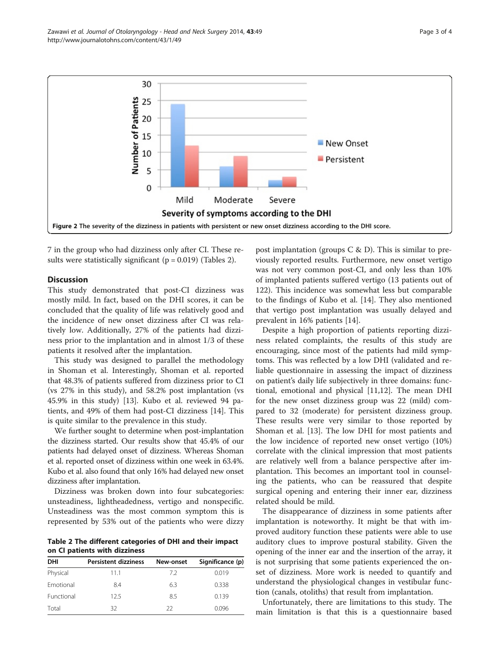<span id="page-2-0"></span>

7 in the group who had dizziness only after CI. These results were statistically significant ( $p = 0.019$ ) (Tables 2).

# **Discussion**

This study demonstrated that post-CI dizziness was mostly mild. In fact, based on the DHI scores, it can be concluded that the quality of life was relatively good and the incidence of new onset dizziness after CI was relatively low. Additionally, 27% of the patients had dizziness prior to the implantation and in almost 1/3 of these patients it resolved after the implantation.

This study was designed to parallel the methodology in Shoman et al. Interestingly, Shoman et al. reported that 48.3% of patients suffered from dizziness prior to CI (vs 27% in this study), and 58.2% post implantation (vs 45.9% in this study) [[13\]](#page-3-0). Kubo et al. reviewed 94 patients, and 49% of them had post-CI dizziness [[14\]](#page-3-0). This is quite similar to the prevalence in this study.

We further sought to determine when post-implantation the dizziness started. Our results show that 45.4% of our patients had delayed onset of dizziness. Whereas Shoman et al. reported onset of dizziness within one week in 63.4%. Kubo et al. also found that only 16% had delayed new onset dizziness after implantation.

Dizziness was broken down into four subcategories: unsteadiness, lightheadedness, vertigo and nonspecific. Unsteadiness was the most common symptom this is represented by 53% out of the patients who were dizzy

Table 2 The different categories of DHI and their impact on CI patients with dizziness

| DHI              | <b>Persistent dizziness</b> | New-onset | Significance (p) |
|------------------|-----------------------------|-----------|------------------|
| Physical         | 11.1                        | 72        | 0.019            |
| <b>Emotional</b> | 8.4                         | 6.3       | 0.338            |
| Functional       | 125                         | 8.5       | 0.139            |
| Total            | 32                          | 22        | 0.096            |

post implantation (groups  $C \& D$ ). This is similar to previously reported results. Furthermore, new onset vertigo was not very common post-CI, and only less than 10% of implanted patients suffered vertigo (13 patients out of 122). This incidence was somewhat less but comparable to the findings of Kubo et al. [[14\]](#page-3-0). They also mentioned that vertigo post implantation was usually delayed and prevalent in 16% patients [\[14](#page-3-0)].

Despite a high proportion of patients reporting dizziness related complaints, the results of this study are encouraging, since most of the patients had mild symptoms. This was reflected by a low DHI (validated and reliable questionnaire in assessing the impact of dizziness on patient's daily life subjectively in three domains: functional, emotional and physical [[11,12\]](#page-3-0). The mean DHI for the new onset dizziness group was 22 (mild) compared to 32 (moderate) for persistent dizziness group. These results were very similar to those reported by Shoman et al. [\[13](#page-3-0)]. The low DHI for most patients and the low incidence of reported new onset vertigo (10%) correlate with the clinical impression that most patients are relatively well from a balance perspective after implantation. This becomes an important tool in counseling the patients, who can be reassured that despite surgical opening and entering their inner ear, dizziness related should be mild.

The disappearance of dizziness in some patients after implantation is noteworthy. It might be that with improved auditory function these patients were able to use auditory clues to improve postural stability. Given the opening of the inner ear and the insertion of the array, it is not surprising that some patients experienced the onset of dizziness. More work is needed to quantify and understand the physiological changes in vestibular function (canals, otoliths) that result from implantation.

Unfortunately, there are limitations to this study. The main limitation is that this is a questionnaire based